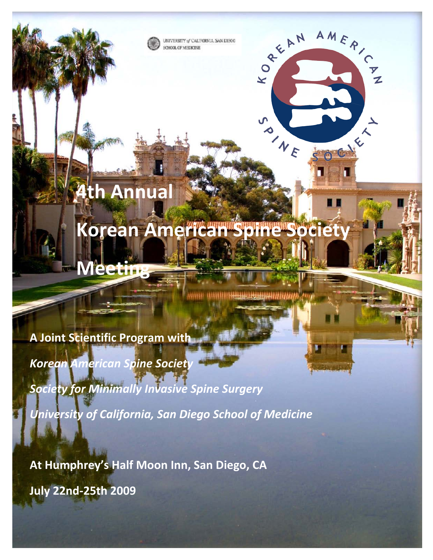UNIVERSITY of CALIFORNIA, SAN DIEGO CHOOL OF MEDICINE

# **4th Annual**

**Korean American Spine Society** 

**Meeting**

AMERICZ

Society

KOREAN

SONE

**A Joint Scientific Program with**

*Korean American Spine Society*

*Society for Minimally Invasive Spine Surgery*

*University of California, San Diego School of Medicine*

**At Humphrey's Half Moon Inn, San Diego, CA**

**July 22nd-25th 2009**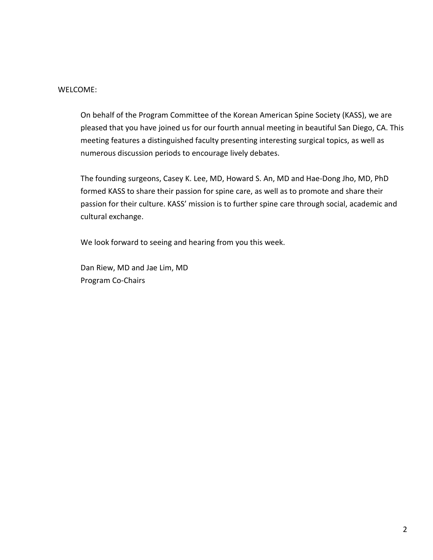#### WELCOME:

On behalf of the Program Committee of the Korean American Spine Society (KASS), we are pleased that you have joined us for our fourth annual meeting in beautiful San Diego, CA. This meeting features a distinguished faculty presenting interesting surgical topics, as well as numerous discussion periods to encourage lively debates.

The founding surgeons, Casey K. Lee, MD, Howard S. An, MD and Hae-Dong Jho, MD, PhD formed KASS to share their passion for spine care, as well as to promote and share their passion for their culture. KASS' mission is to further spine care through social, academic and cultural exchange.

We look forward to seeing and hearing from you this week.

Dan Riew, MD and Jae Lim, MD Program Co-Chairs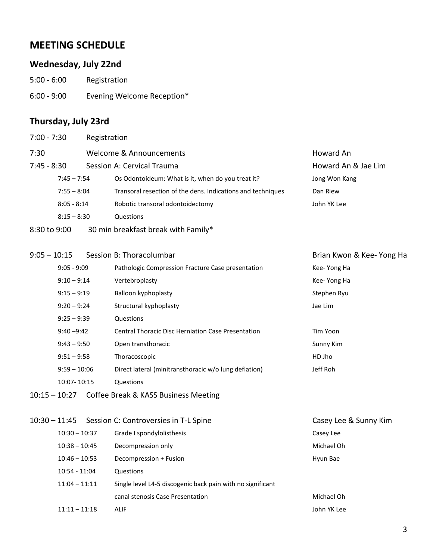# **MEETING SCHEDULE**

# **Wednesday, July 22nd**

5:00 - 6:00 Registration

6:00 - 9:00 Evening Welcome Reception\*

# **Thursday, July 23rd**

| $7:00 - 7:30$   | Registration            |                                                             |                          |
|-----------------|-------------------------|-------------------------------------------------------------|--------------------------|
| 7:30            | Welcome & Announcements |                                                             | Howard An                |
| $7:45 - 8:30$   |                         | Session A: Cervical Trauma                                  | Howard An & Jae Lim      |
| $7:45 - 7:54$   |                         | Os Odontoideum: What is it, when do you treat it?           | Jong Won Kang            |
| $7:55 - 8:04$   |                         | Transoral resection of the dens. Indications and techniques | Dan Riew                 |
| $8:05 - 8:14$   |                         | Robotic transoral odontoidectomy                            | John YK Lee              |
| $8:15 - 8:30$   |                         | Questions                                                   |                          |
| 8:30 to 9:00    |                         | 30 min breakfast break with Family*                         |                          |
| $9:05 - 10:15$  |                         | Session B: Thoracolumbar                                    | Brian Kwon & Kee-Yong Ha |
| $9:05 - 9:09$   |                         | Pathologic Compression Fracture Case presentation           | Kee-Yong Ha              |
| $9:10 - 9:14$   |                         | Vertebroplasty                                              | Kee-Yong Ha              |
| $9:15 - 9:19$   |                         | Balloon kyphoplasty                                         | Stephen Ryu              |
| $9:20 - 9:24$   |                         | Structural kyphoplasty                                      | Jae Lim                  |
| $9:25 - 9:39$   |                         | Questions                                                   |                          |
| $9:40 - 9:42$   |                         | <b>Central Thoracic Disc Herniation Case Presentation</b>   | Tim Yoon                 |
| $9:43 - 9:50$   |                         | Open transthoracic                                          | Sunny Kim                |
| $9:51 - 9:58$   |                         | Thoracoscopic                                               | HD Jho                   |
| $9:59 - 10:06$  |                         | Direct lateral (minitransthoracic w/o lung deflation)       | Jeff Roh                 |
| 10:07-10:15     |                         | Questions                                                   |                          |
|                 |                         | 10:15 - 10:27 Coffee Break & KASS Business Meeting          |                          |
|                 |                         | 10:30 - 11:45 Session C: Controversies in T-L Spine         | Casey Lee & Sunny Kim    |
| $10:30 - 10:37$ |                         | Grade I spondylolisthesis                                   | Casey Lee                |
| $10:38 - 10:45$ |                         | Decompression only                                          | Michael Oh               |

- 10:54 11:04 Questions
	- 11:04 11:11 Single level L4-5 discogenic back pain with no significant canal stenosis Case Presentation and a stenosis Case Presentation 11:11 – 11:18 ALIF ALIF ALIT ALIT ALIT AND ALIT AND A LOT AND A LOT AND A LOT AND A LOT AND A LOT AND A LOT AN

10:46 - 10:53 Decompression + Fusion **Decompression + Fusion** extending the Hyun Bae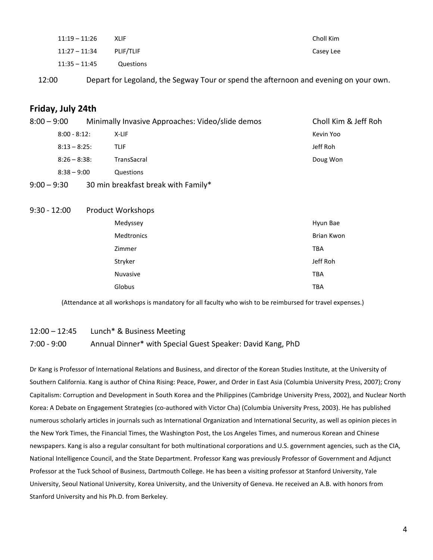| $11:19 - 11:26$ | <b>XLIF</b> | Choll Kim |
|-----------------|-------------|-----------|
| 11:27 – 11:34   | PLIF/TLIF   | Casey Lee |
| $11:35 - 11:45$ | Questions   |           |

12:00 Depart for Legoland, the Segway Tour or spend the afternoon and evening on your own.

#### **Friday, July 24th**

| $8:00 - 9:00$   | Minimally Invasive Approaches: Video/slide demos | Choll Kim & Jeff Roh |
|-----------------|--------------------------------------------------|----------------------|
| $8:00 - 8:12$   | X-LIF                                            | Kevin Yoo            |
| $8:13 - 8:25$ : | TLIF                                             | Jeff Roh             |
| $8:26 - 8:38$   | TransSacral                                      | Doug Won             |
| $8:38 - 9:00$   | Questions                                        |                      |
| $9:00 - 9:30$   | 30 min breakfast break with Family*              |                      |

#### 9:30 - 12:00 Product Workshops

| Medyssey          | Hyun Bae   |
|-------------------|------------|
| <b>Medtronics</b> | Brian Kwon |
| Zimmer            | TBA        |
| Stryker           | Jeff Roh   |
| <b>Nuvasive</b>   | TBA        |
| Globus            | TBA        |

(Attendance at all workshops is mandatory for all faculty who wish to be reimbursed for travel expenses.)

#### 12:00 – 12:45 Lunch\* & Business Meeting

#### 7:00 - 9:00 Annual Dinner\* with Special Guest Speaker: David Kang, PhD

Dr Kang is Professor of International Relations and Business, and director of the Korean Studies Institute, at the University of Southern California. Kang is author of China Rising: Peace, Power, and Order in East Asia (Columbia University Press, 2007); Crony Capitalism: Corruption and Development in South Korea and the Philippines (Cambridge University Press, 2002), and Nuclear North Korea: A Debate on Engagement Strategies (co-authored with Victor Cha) (Columbia University Press, 2003). He has published numerous scholarly articles in journals such as International Organization and International Security, as well as opinion pieces in the New York Times, the Financial Times, the Washington Post, the Los Angeles Times, and numerous Korean and Chinese newspapers. Kang is also a regular consultant for both multinational corporations and U.S. government agencies, such as the CIA, National Intelligence Council, and the State Department. Professor Kang was previously Professor of Government and Adjunct Professor at the Tuck School of Business, Dartmouth College. He has been a visiting professor at Stanford University, Yale University, Seoul National University, Korea University, and the University of Geneva. He received an A.B. with honors from Stanford University and his Ph.D. from Berkeley.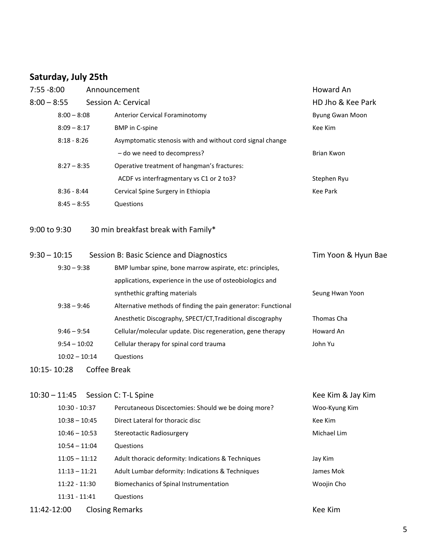# **Saturday, July 25th**

| $7:55 - 8:00$   | Announcement                                                  | Howard An           |
|-----------------|---------------------------------------------------------------|---------------------|
| $8:00 - 8:55$   | Session A: Cervical                                           | HD Jho & Kee Park   |
| $8:00 - 8:08$   | Anterior Cervical Foraminotomy                                | Byung Gwan Moon     |
| $8:09 - 8:17$   | <b>BMP</b> in C-spine                                         | Kee Kim             |
| $8:18 - 8:26$   | Asymptomatic stenosis with and without cord signal change     |                     |
|                 | - do we need to decompress?                                   | <b>Brian Kwon</b>   |
| $8:27 - 8:35$   | Operative treatment of hangman's fractures:                   |                     |
|                 | ACDF vs interfragmentary vs C1 or 2 to3?                      | Stephen Ryu         |
| $8:36 - 8:44$   | Cervical Spine Surgery in Ethiopia                            | <b>Kee Park</b>     |
| $8:45 - 8:55$   | Questions                                                     |                     |
| 9:00 to 9:30    | 30 min breakfast break with Family*                           |                     |
| $9:30 - 10:15$  | Session B: Basic Science and Diagnostics                      | Tim Yoon & Hyun Bae |
| $9:30 - 9:38$   | BMP lumbar spine, bone marrow aspirate, etc: principles,      |                     |
|                 | applications, experience in the use of osteobiologics and     |                     |
|                 | synthethic grafting materials                                 | Seung Hwan Yoon     |
| $9:38 - 9:46$   | Alternative methods of finding the pain generator: Functional |                     |
|                 | Anesthetic Discography, SPECT/CT, Traditional discography     | Thomas Cha          |
| $9:46 - 9:54$   | Cellular/molecular update. Disc regeneration, gene therapy    | Howard An           |
| $9:54 - 10:02$  | Cellular therapy for spinal cord trauma                       | John Yu             |
| $10:02 - 10:14$ | Questions                                                     |                     |
| 10:15-10:28     | Coffee Break                                                  |                     |
| $10:30 - 11:45$ | Session C: T-L Spine                                          | Kee Kim & Jay Kim   |
| $10:30 - 10:37$ | Percutaneous Discectomies: Should we be doing more?           | Woo-Kyung Kim       |
| $10:38 - 10:45$ | Direct Lateral for thoracic disc                              | Kee Kim             |
| $10:46 - 10:53$ | <b>Stereotactic Radiosurgery</b>                              | Michael Lim         |
| $10:54 - 11:04$ | Questions                                                     |                     |
| $11:05 - 11:12$ | Adult thoracic deformity: Indications & Techniques            | Jay Kim             |
| $11:13 - 11:21$ | Adult Lumbar deformity: Indications & Techniques              | James Mok           |
| $11:22 - 11:30$ | Biomechanics of Spinal Instrumentation                        | Woojin Cho          |
| $11:31 - 11:41$ | Questions                                                     |                     |
| 11:42-12:00     | <b>Closing Remarks</b>                                        | Kee Kim             |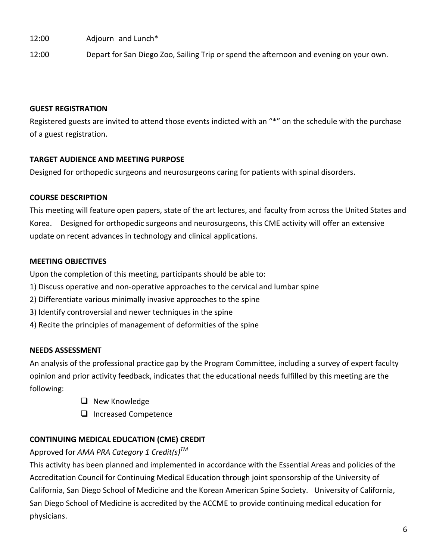12:00 Adjourn and Lunch\*

12:00 Depart for San Diego Zoo, Sailing Trip or spend the afternoon and evening on your own.

# **GUEST REGISTRATION**

Registered guests are invited to attend those events indicted with an "\*" on the schedule with the purchase of a guest registration.

# **TARGET AUDIENCE AND MEETING PURPOSE**

Designed for orthopedic surgeons and neurosurgeons caring for patients with spinal disorders.

# **COURSE DESCRIPTION**

This meeting will feature open papers, state of the art lectures, and faculty from across the United States and Korea. Designed for orthopedic surgeons and neurosurgeons, this CME activity will offer an extensive update on recent advances in technology and clinical applications.

## **MEETING OBJECTIVES**

Upon the completion of this meeting, participants should be able to:

- 1) Discuss operative and non-operative approaches to the cervical and lumbar spine
- 2) Differentiate various minimally invasive approaches to the spine
- 3) Identify controversial and newer techniques in the spine
- 4) Recite the principles of management of deformities of the spine

# **NEEDS ASSESSMENT**

An analysis of the professional practice gap by the Program Committee, including a survey of expert faculty opinion and prior activity feedback, indicates that the educational needs fulfilled by this meeting are the following:

- $\Box$  New Knowledge
- **Increased Competence**

# **CONTINUING MEDICAL EDUCATION (CME) CREDIT**

# Approved for *AMA PRA Category 1 Credit(s)TM*

This activity has been planned and implemented in accordance with the Essential Areas and policies of the Accreditation Council for Continuing Medical Education through joint sponsorship of the University of California, San Diego School of Medicine and the Korean American Spine Society. University of California, San Diego School of Medicine is accredited by the ACCME to provide continuing medical education for physicians.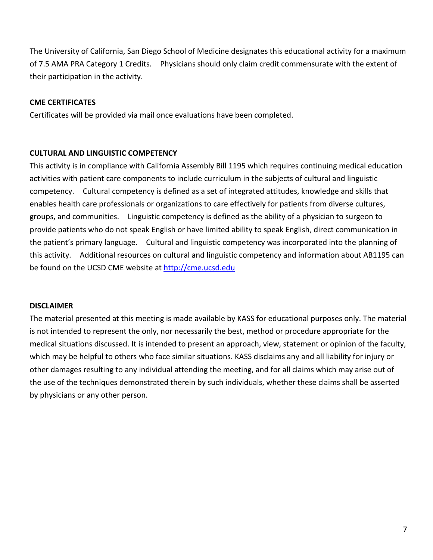The University of California, San Diego School of Medicine designates this educational activity for a maximum of 7.5 AMA PRA Category 1 Credits. Physicians should only claim credit commensurate with the extent of their participation in the activity.

## **CME CERTIFICATES**

Certificates will be provided via mail once evaluations have been completed.

## **CULTURAL AND LINGUISTIC COMPETENCY**

This activity is in compliance with California Assembly Bill 1195 which requires continuing medical education activities with patient care components to include curriculum in the subjects of cultural and linguistic competency. Cultural competency is defined as a set of integrated attitudes, knowledge and skills that enables health care professionals or organizations to care effectively for patients from diverse cultures, groups, and communities. Linguistic competency is defined as the ability of a physician to surgeon to provide patients who do not speak English or have limited ability to speak English, direct communication in the patient's primary language. Cultural and linguistic competency was incorporated into the planning of this activity. Additional resources on cultural and linguistic competency and information about AB1195 can be found on the UCSD CME website at [http://cme.ucsd.edu](http://cme.ucsd.edu/)

#### **DISCLAIMER**

The material presented at this meeting is made available by KASS for educational purposes only. The material is not intended to represent the only, nor necessarily the best, method or procedure appropriate for the medical situations discussed. It is intended to present an approach, view, statement or opinion of the faculty, which may be helpful to others who face similar situations. KASS disclaims any and all liability for injury or other damages resulting to any individual attending the meeting, and for all claims which may arise out of the use of the techniques demonstrated therein by such individuals, whether these claims shall be asserted by physicians or any other person.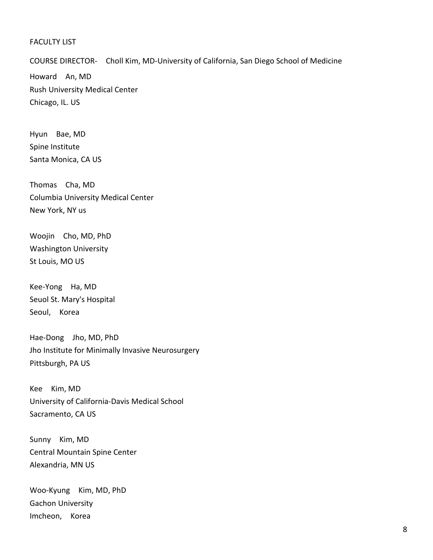#### FACULTY LIST

COURSE DIRECTOR- Choll Kim, MD-University of California, San Diego School of Medicine Howard An, MD Rush University Medical Center Chicago, IL. US

Hyun Bae, MD Spine Institute Santa Monica, CA US

Thomas Cha, MD Columbia University Medical Center New York, NY us

Woojin Cho, MD, PhD Washington University St Louis, MO US

Kee-Yong Ha, MD Seuol St. Mary's Hospital Seoul, Korea

Hae-Dong Jho, MD, PhD Jho Institute for Minimally Invasive Neurosurgery Pittsburgh, PA US

Kee Kim, MD University of California-Davis Medical School Sacramento, CA US

Sunny Kim, MD Central Mountain Spine Center Alexandria, MN US

Woo-Kyung Kim, MD, PhD Gachon University Imcheon, Korea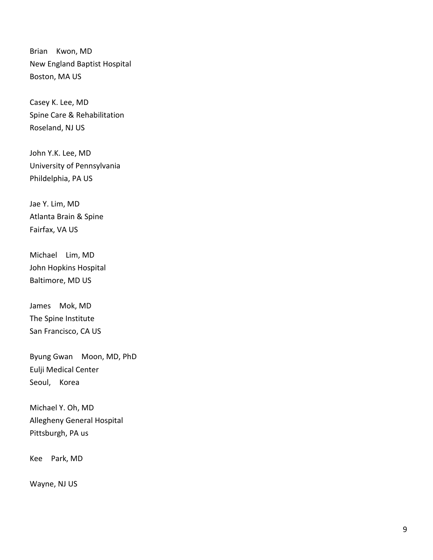Brian Kwon, MD New England Baptist Hospital Boston, MA US

Casey K. Lee, MD Spine Care & Rehabilitation Roseland, NJ US

John Y.K. Lee, MD University of Pennsylvania Phildelphia, PA US

Jae Y. Lim, MD Atlanta Brain & Spine Fairfax, VA U S

Michael Lim, MD John Hopkins Hospital Baltimore, M D US

James Mok, MD The Spine Institute San Francisco, CA US

Byung Gwan Moon, MD, PhD Eulji Medical Center Seoul, Korea

Michael Y. Oh, MD Allegheny General Hospital Pittsburgh, PA us

Kee Park, MD

Wayne, NJ US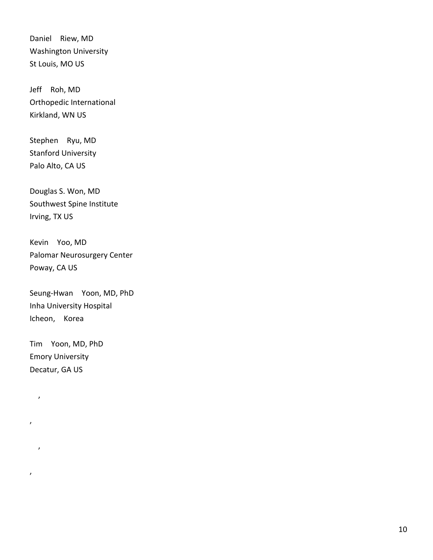Daniel Riew, MD Washington University St Louis, MO US

Jeff Roh, MD Orthopedic International Kirkland, WN US

Stephen Ryu, MD Stanford University Palo Alto, CA US

Douglas S. Won, MD Southwest Spine Institute Irving, TX US

Kevin Yoo, MD Palomar Neurosurgery Center Poway, CA US

Seung -Hwan Yoon, MD, PhD Inha University Hospital Icheon, Korea

Tim Yoon, MD, PhD Emory University Decatur, GA US

 $\epsilon$ 

,

,

,